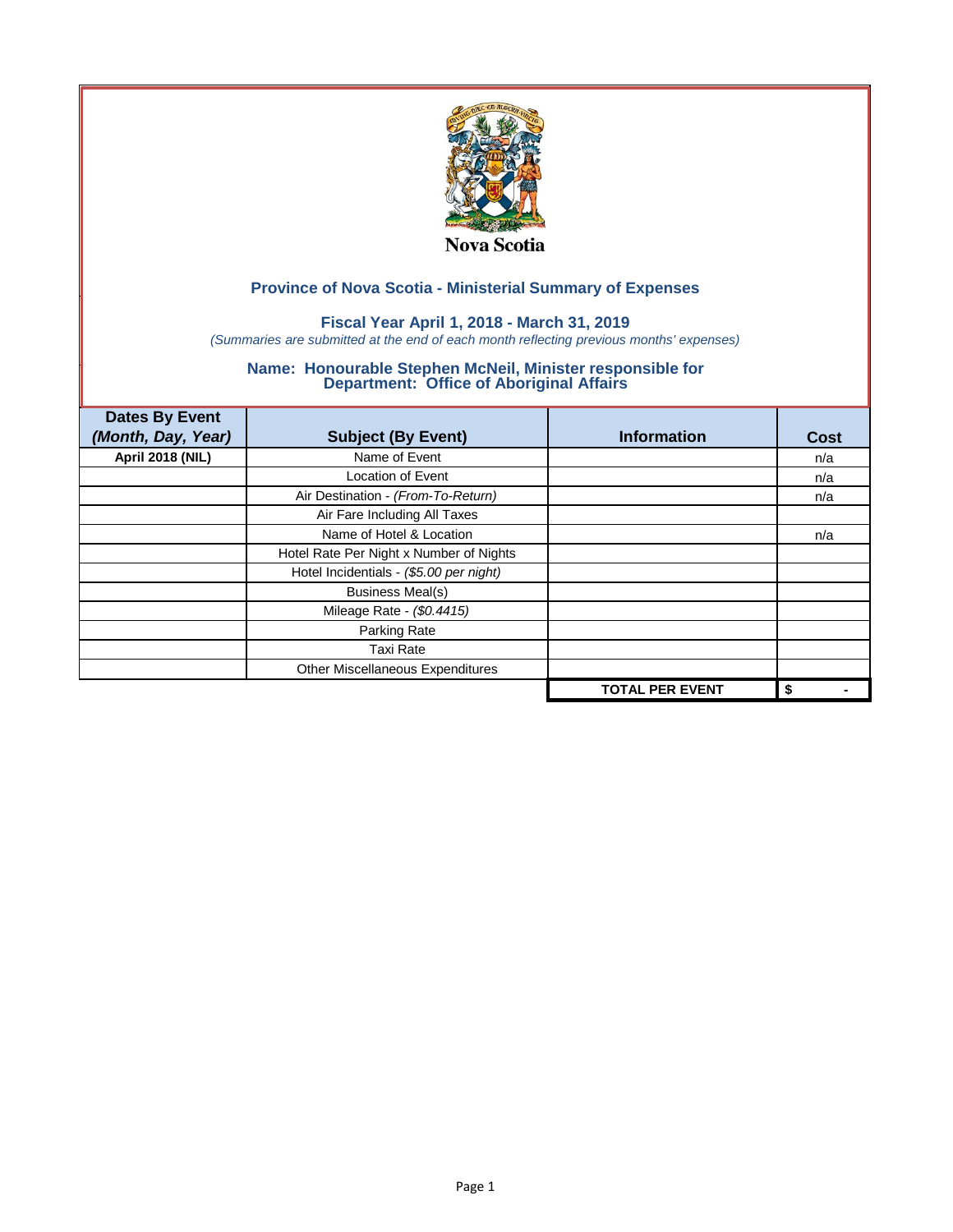

## **Fiscal Year April 1, 2018 - March 31, 2019**

*(Summaries are submitted at the end of each month reflecting previous months' expenses)*

| <b>Dates By Event</b><br>(Month, Day, Year) | <b>Subject (By Event)</b>               | <b>Information</b>     | <b>Cost</b> |
|---------------------------------------------|-----------------------------------------|------------------------|-------------|
| <b>April 2018 (NIL)</b>                     | Name of Event                           |                        | n/a         |
|                                             | <b>Location of Event</b>                |                        | n/a         |
|                                             | Air Destination - (From-To-Return)      |                        | n/a         |
|                                             | Air Fare Including All Taxes            |                        |             |
|                                             | Name of Hotel & Location                |                        | n/a         |
|                                             | Hotel Rate Per Night x Number of Nights |                        |             |
|                                             | Hotel Incidentials - (\$5.00 per night) |                        |             |
|                                             | <b>Business Meal(s)</b>                 |                        |             |
|                                             | Mileage Rate - (\$0.4415)               |                        |             |
|                                             | Parking Rate                            |                        |             |
|                                             | <b>Taxi Rate</b>                        |                        |             |
|                                             | Other Miscellaneous Expenditures        |                        |             |
|                                             |                                         | <b>TOTAL PER EVENT</b> | \$          |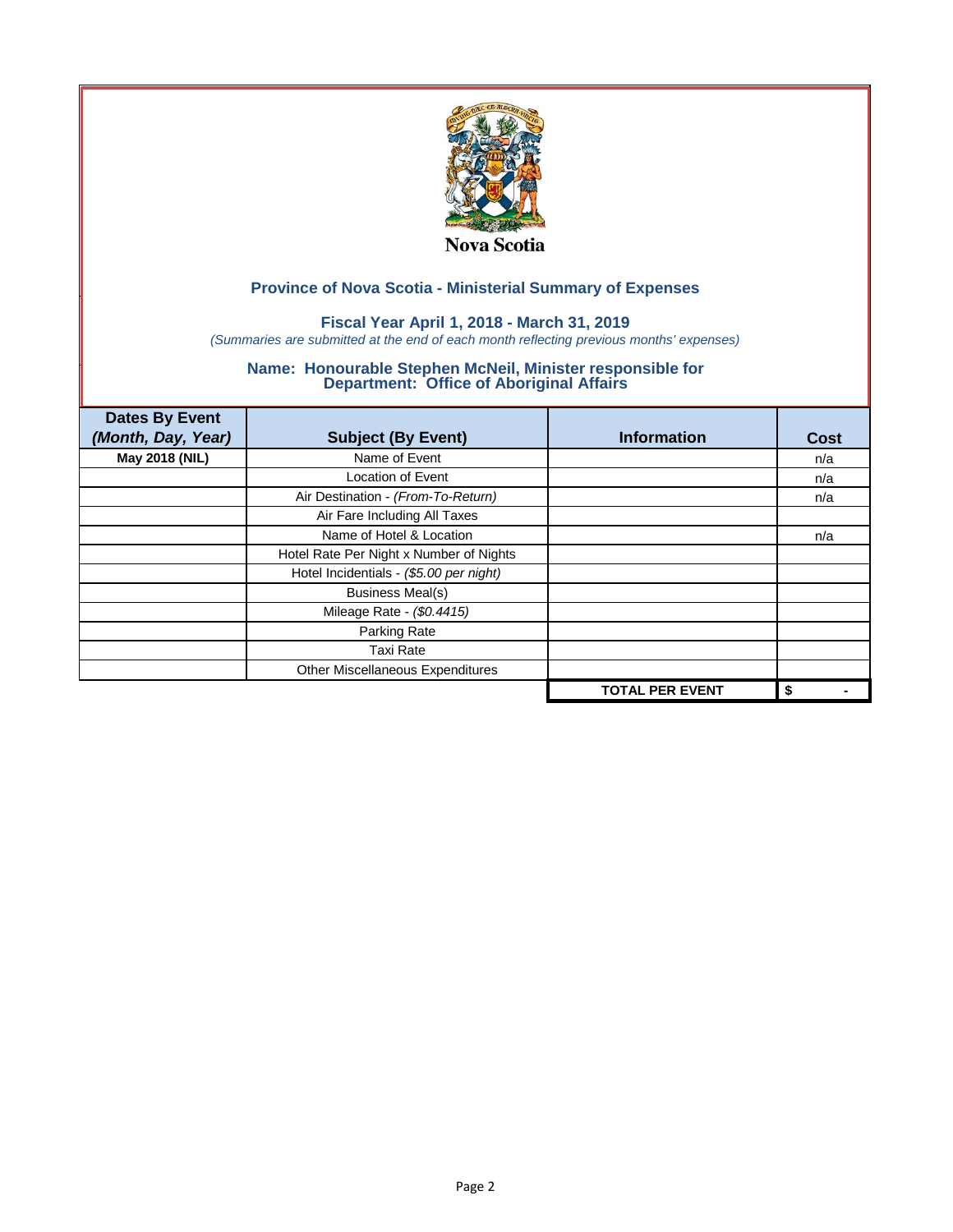

## **Fiscal Year April 1, 2018 - March 31, 2019**

*(Summaries are submitted at the end of each month reflecting previous months' expenses)*

| <b>Dates By Event</b><br>(Month, Day, Year) | <b>Subject (By Event)</b>               | <b>Information</b>     | Cost |
|---------------------------------------------|-----------------------------------------|------------------------|------|
| May 2018 (NIL)                              | Name of Event                           |                        | n/a  |
|                                             | <b>Location of Event</b>                |                        | n/a  |
|                                             | Air Destination - (From-To-Return)      |                        | n/a  |
|                                             | Air Fare Including All Taxes            |                        |      |
|                                             | Name of Hotel & Location                |                        | n/a  |
|                                             | Hotel Rate Per Night x Number of Nights |                        |      |
|                                             | Hotel Incidentials - (\$5.00 per night) |                        |      |
|                                             | <b>Business Meal(s)</b>                 |                        |      |
|                                             | Mileage Rate - (\$0.4415)               |                        |      |
|                                             | Parking Rate                            |                        |      |
|                                             | <b>Taxi Rate</b>                        |                        |      |
|                                             | Other Miscellaneous Expenditures        |                        |      |
|                                             |                                         | <b>TOTAL PER EVENT</b> | \$   |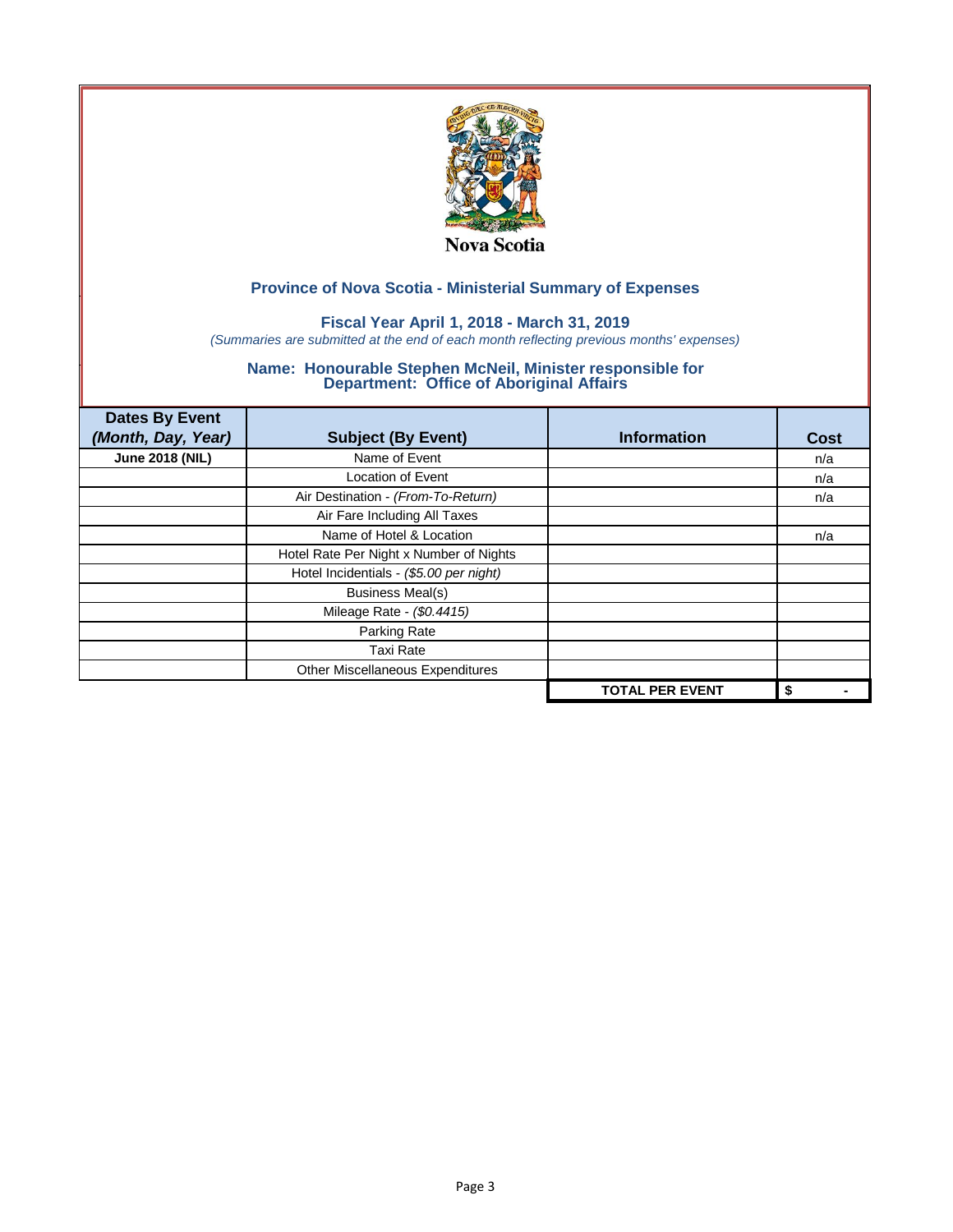

## **Fiscal Year April 1, 2018 - March 31, 2019**

*(Summaries are submitted at the end of each month reflecting previous months' expenses)*

| <b>Dates By Event</b><br>(Month, Day, Year) | <b>Subject (By Event)</b>               | <b>Information</b>     | Cost |
|---------------------------------------------|-----------------------------------------|------------------------|------|
| <b>June 2018 (NIL)</b>                      | Name of Event                           |                        | n/a  |
|                                             | <b>Location of Event</b>                |                        | n/a  |
|                                             | Air Destination - (From-To-Return)      |                        | n/a  |
|                                             | Air Fare Including All Taxes            |                        |      |
|                                             | Name of Hotel & Location                |                        | n/a  |
|                                             | Hotel Rate Per Night x Number of Nights |                        |      |
|                                             | Hotel Incidentials - (\$5.00 per night) |                        |      |
|                                             | <b>Business Meal(s)</b>                 |                        |      |
|                                             | Mileage Rate - (\$0.4415)               |                        |      |
|                                             | Parking Rate                            |                        |      |
|                                             | <b>Taxi Rate</b>                        |                        |      |
|                                             | Other Miscellaneous Expenditures        |                        |      |
|                                             |                                         | <b>TOTAL PER EVENT</b> | \$   |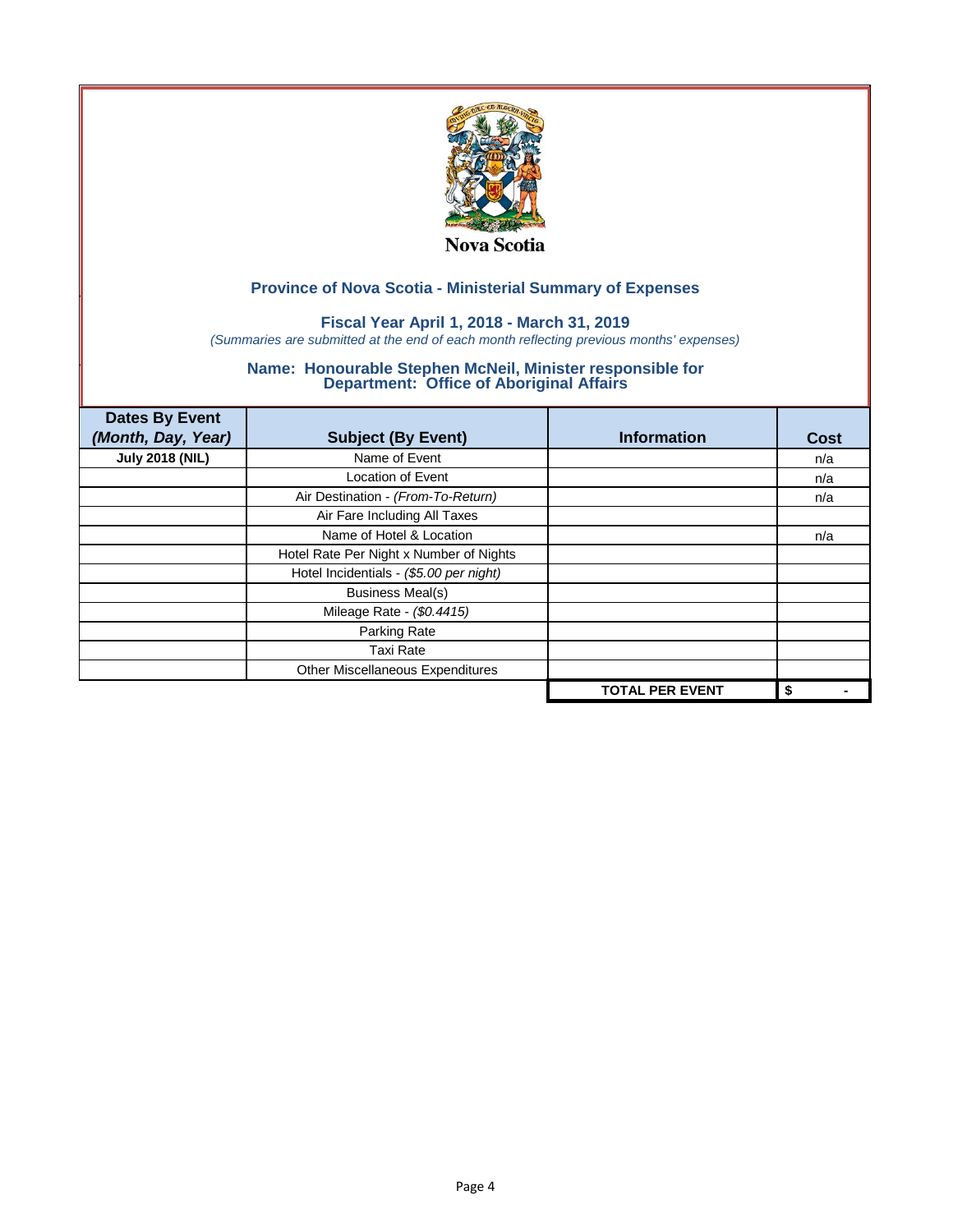

## **Fiscal Year April 1, 2018 - March 31, 2019**

*(Summaries are submitted at the end of each month reflecting previous months' expenses)*

| <b>Dates By Event</b><br>(Month, Day, Year) | <b>Subject (By Event)</b>               | <b>Information</b>     | <b>Cost</b> |
|---------------------------------------------|-----------------------------------------|------------------------|-------------|
| <b>July 2018 (NIL)</b>                      | Name of Event                           |                        | n/a         |
|                                             | <b>Location of Event</b>                |                        | n/a         |
|                                             | Air Destination - (From-To-Return)      |                        | n/a         |
|                                             | Air Fare Including All Taxes            |                        |             |
|                                             | Name of Hotel & Location                |                        | n/a         |
|                                             | Hotel Rate Per Night x Number of Nights |                        |             |
|                                             | Hotel Incidentials - (\$5.00 per night) |                        |             |
|                                             | <b>Business Meal(s)</b>                 |                        |             |
|                                             | Mileage Rate - (\$0.4415)               |                        |             |
|                                             | Parking Rate                            |                        |             |
|                                             | <b>Taxi Rate</b>                        |                        |             |
|                                             | Other Miscellaneous Expenditures        |                        |             |
|                                             |                                         | <b>TOTAL PER EVENT</b> | \$          |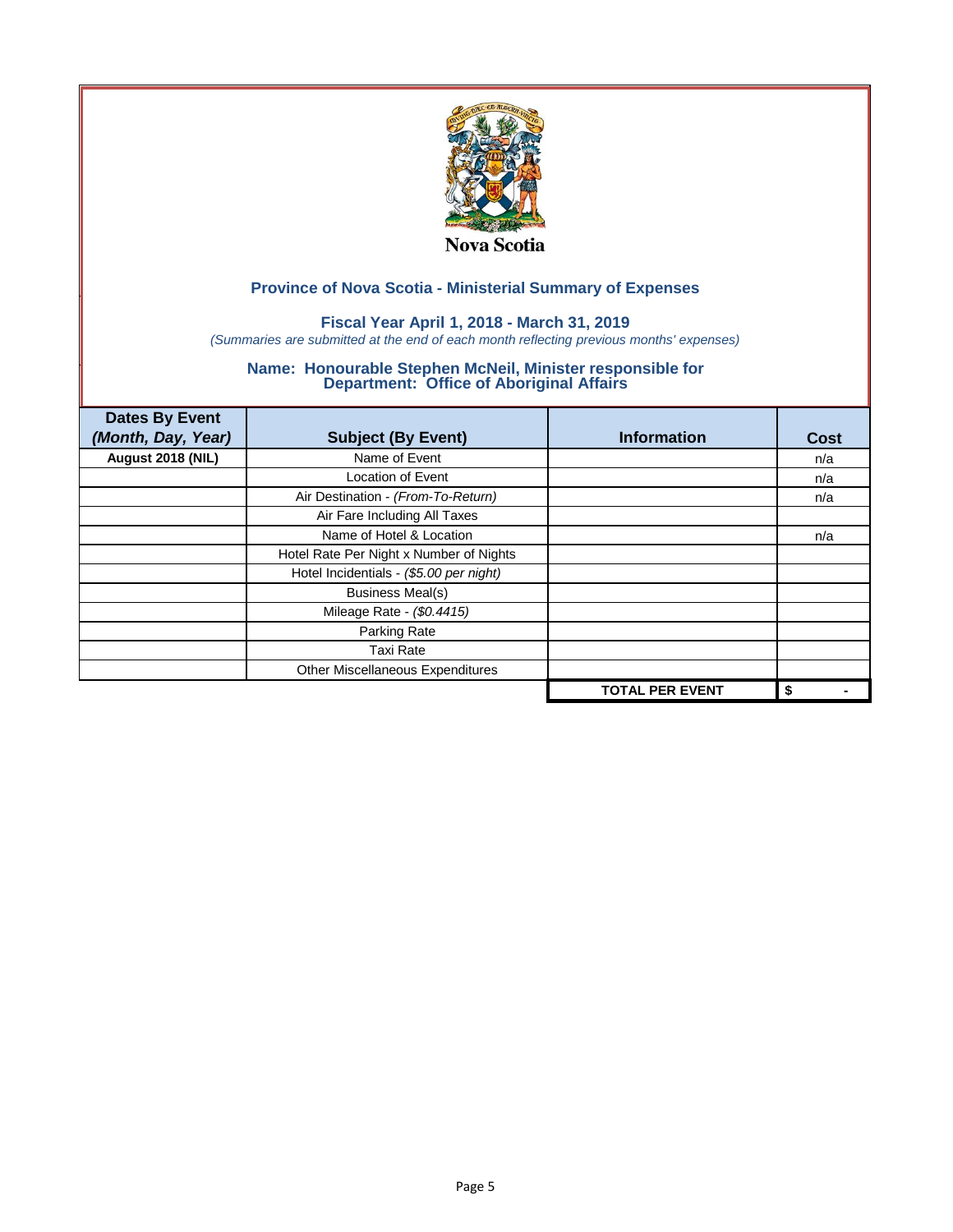

## **Fiscal Year April 1, 2018 - March 31, 2019**

*(Summaries are submitted at the end of each month reflecting previous months' expenses)*

| <b>Dates By Event</b><br>(Month, Day, Year) | <b>Subject (By Event)</b>               | <b>Information</b>     | Cost |
|---------------------------------------------|-----------------------------------------|------------------------|------|
| August 2018 (NIL)                           | Name of Event                           |                        | n/a  |
|                                             | <b>Location of Event</b>                |                        | n/a  |
|                                             | Air Destination - (From-To-Return)      |                        | n/a  |
|                                             | Air Fare Including All Taxes            |                        |      |
|                                             | Name of Hotel & Location                |                        | n/a  |
|                                             | Hotel Rate Per Night x Number of Nights |                        |      |
|                                             | Hotel Incidentials - (\$5.00 per night) |                        |      |
|                                             | <b>Business Meal(s)</b>                 |                        |      |
|                                             | Mileage Rate - (\$0.4415)               |                        |      |
|                                             | Parking Rate                            |                        |      |
|                                             | <b>Taxi Rate</b>                        |                        |      |
|                                             | Other Miscellaneous Expenditures        |                        |      |
|                                             |                                         | <b>TOTAL PER EVENT</b> | \$   |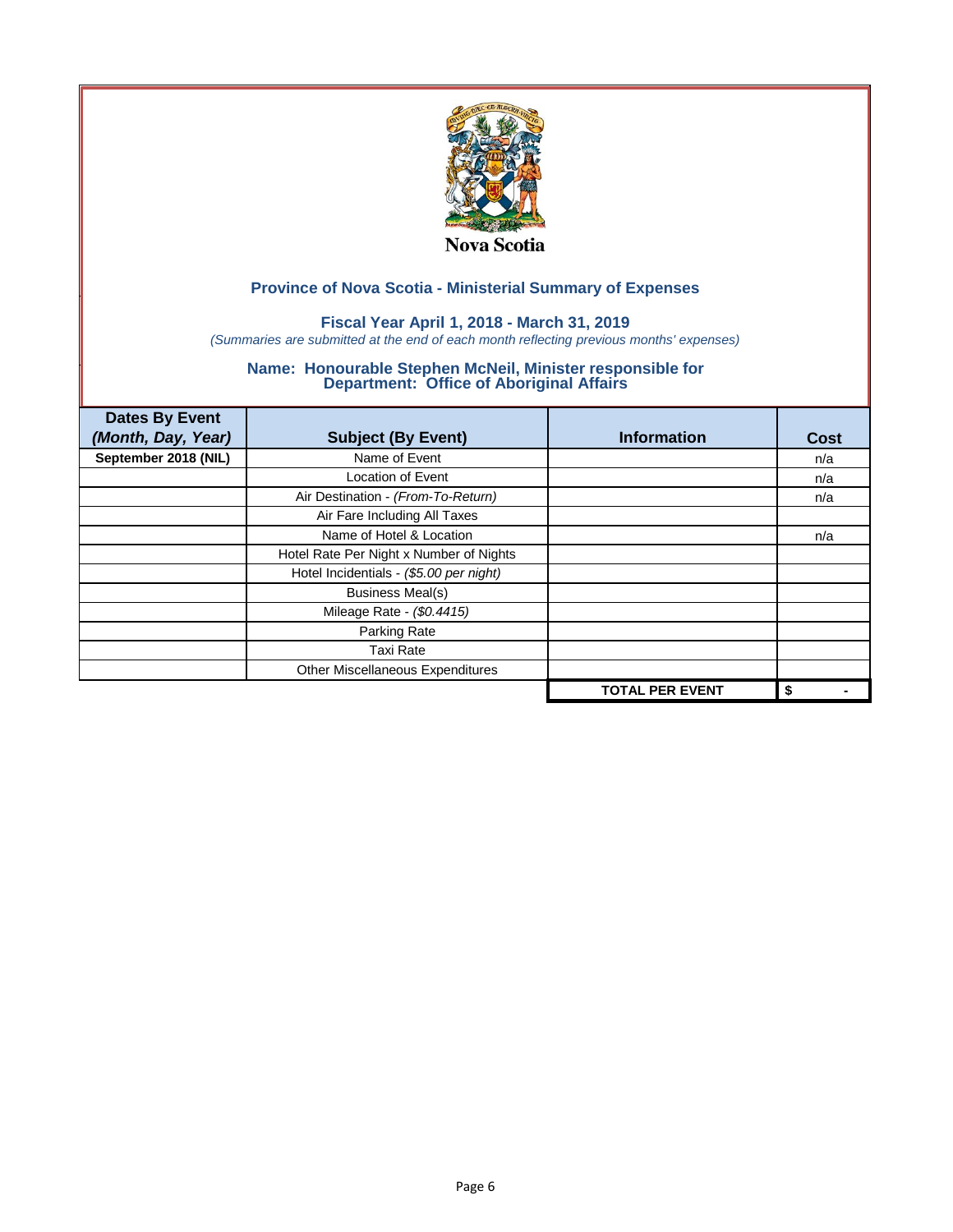

## **Fiscal Year April 1, 2018 - March 31, 2019**

*(Summaries are submitted at the end of each month reflecting previous months' expenses)*

| <b>Dates By Event</b><br>(Month, Day, Year) | <b>Subject (By Event)</b>               | <b>Information</b>     | <b>Cost</b> |
|---------------------------------------------|-----------------------------------------|------------------------|-------------|
| September 2018 (NIL)                        | Name of Event                           |                        | n/a         |
|                                             | <b>Location of Event</b>                |                        | n/a         |
|                                             | Air Destination - (From-To-Return)      |                        | n/a         |
|                                             | Air Fare Including All Taxes            |                        |             |
|                                             | Name of Hotel & Location                |                        | n/a         |
|                                             | Hotel Rate Per Night x Number of Nights |                        |             |
|                                             | Hotel Incidentials - (\$5.00 per night) |                        |             |
|                                             | <b>Business Meal(s)</b>                 |                        |             |
|                                             | Mileage Rate - (\$0.4415)               |                        |             |
|                                             | Parking Rate                            |                        |             |
|                                             | <b>Taxi Rate</b>                        |                        |             |
|                                             | Other Miscellaneous Expenditures        |                        |             |
|                                             |                                         | <b>TOTAL PER EVENT</b> | \$          |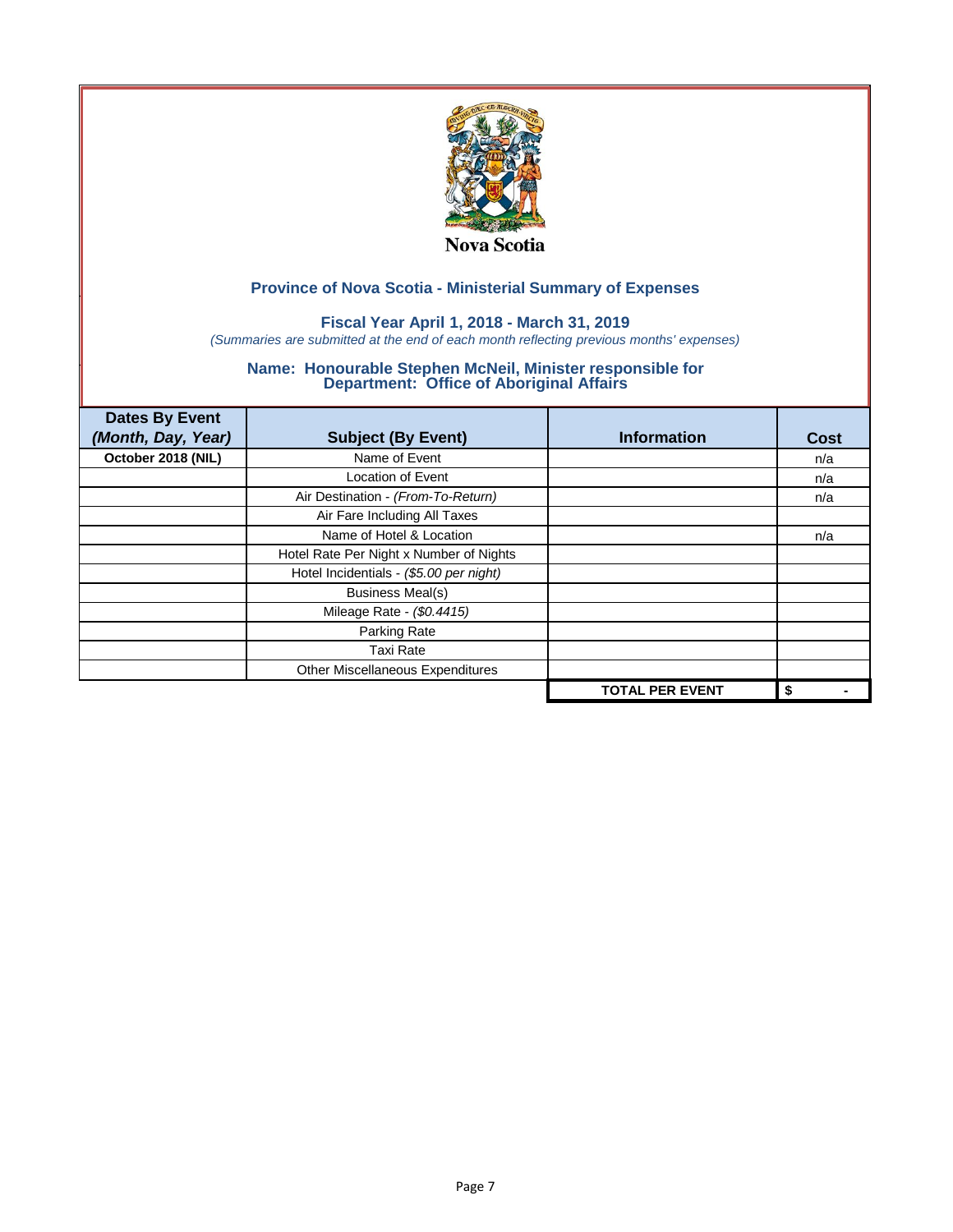

## **Fiscal Year April 1, 2018 - March 31, 2019**

*(Summaries are submitted at the end of each month reflecting previous months' expenses)*

| <b>Dates By Event</b><br>(Month, Day, Year) | <b>Subject (By Event)</b>               | <b>Information</b>     | <b>Cost</b> |
|---------------------------------------------|-----------------------------------------|------------------------|-------------|
| October 2018 (NIL)                          | Name of Event                           |                        | n/a         |
|                                             | <b>Location of Event</b>                |                        | n/a         |
|                                             | Air Destination - (From-To-Return)      |                        | n/a         |
|                                             | Air Fare Including All Taxes            |                        |             |
|                                             | Name of Hotel & Location                |                        | n/a         |
|                                             | Hotel Rate Per Night x Number of Nights |                        |             |
|                                             | Hotel Incidentials - (\$5.00 per night) |                        |             |
|                                             | <b>Business Meal(s)</b>                 |                        |             |
|                                             | Mileage Rate - (\$0.4415)               |                        |             |
|                                             | Parking Rate                            |                        |             |
|                                             | <b>Taxi Rate</b>                        |                        |             |
|                                             | Other Miscellaneous Expenditures        |                        |             |
|                                             |                                         | <b>TOTAL PER EVENT</b> | \$          |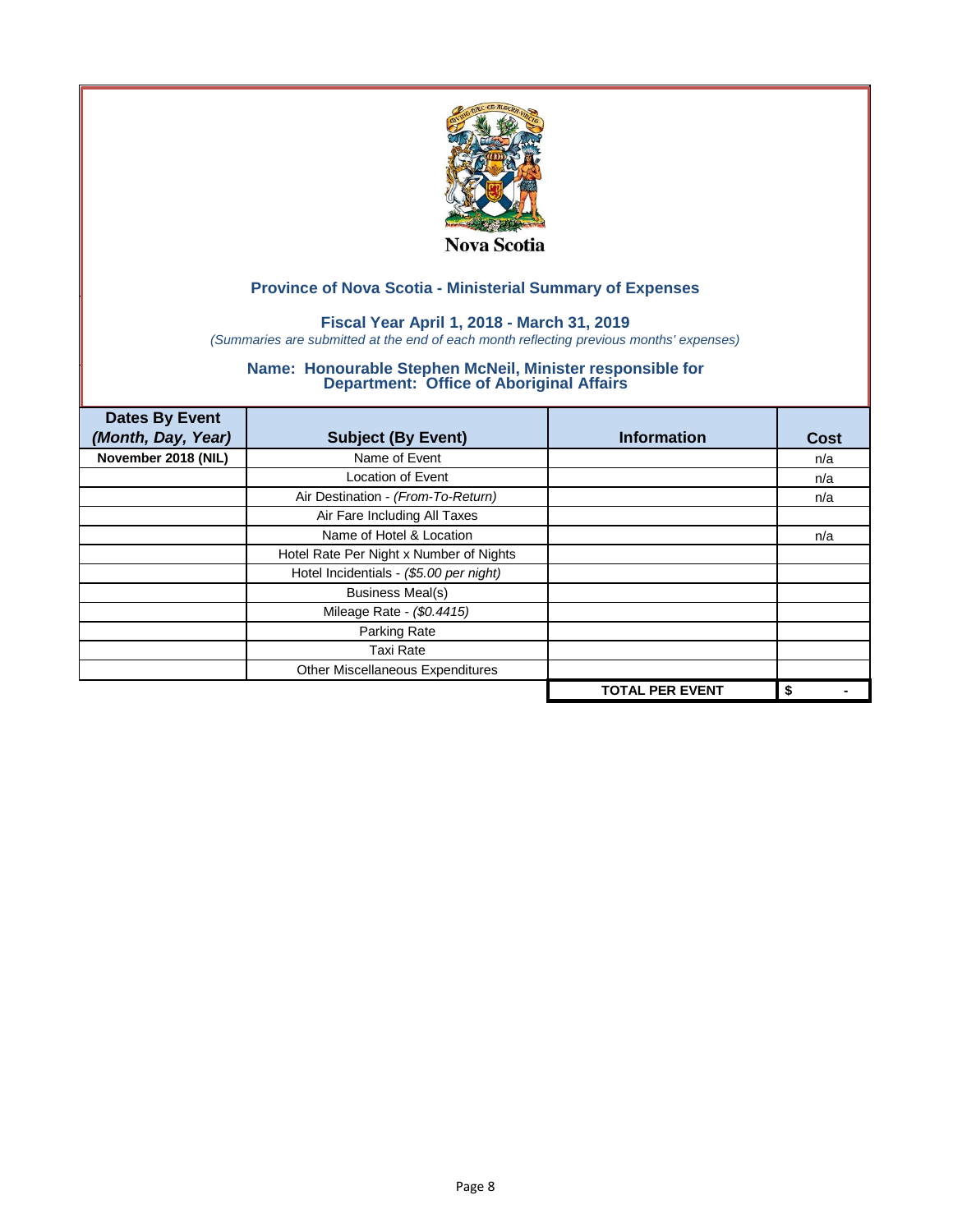

## **Fiscal Year April 1, 2018 - March 31, 2019**

*(Summaries are submitted at the end of each month reflecting previous months' expenses)*

| <b>Dates By Event</b><br>(Month, Day, Year) | <b>Subject (By Event)</b>               | <b>Information</b>     | Cost |
|---------------------------------------------|-----------------------------------------|------------------------|------|
| November 2018 (NIL)                         | Name of Event                           |                        | n/a  |
|                                             | <b>Location of Event</b>                |                        | n/a  |
|                                             | Air Destination - (From-To-Return)      |                        | n/a  |
|                                             | Air Fare Including All Taxes            |                        |      |
|                                             | Name of Hotel & Location                |                        | n/a  |
|                                             | Hotel Rate Per Night x Number of Nights |                        |      |
|                                             | Hotel Incidentials - (\$5.00 per night) |                        |      |
|                                             | <b>Business Meal(s)</b>                 |                        |      |
|                                             | Mileage Rate - (\$0.4415)               |                        |      |
|                                             | Parking Rate                            |                        |      |
|                                             | <b>Taxi Rate</b>                        |                        |      |
|                                             | Other Miscellaneous Expenditures        |                        |      |
|                                             |                                         | <b>TOTAL PER EVENT</b> | \$   |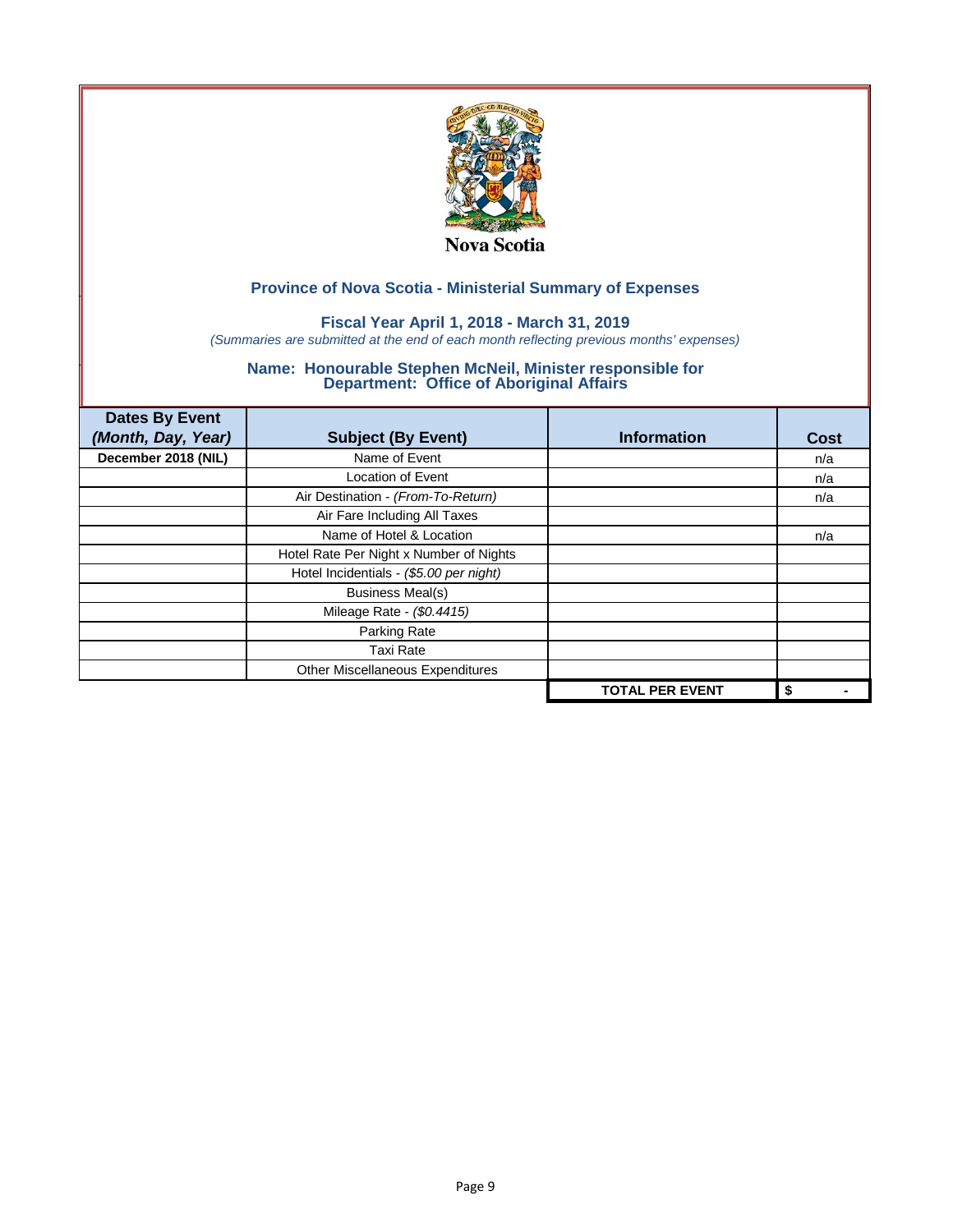

## **Fiscal Year April 1, 2018 - March 31, 2019**

*(Summaries are submitted at the end of each month reflecting previous months' expenses)*

| <b>Dates By Event</b><br>(Month, Day, Year) | <b>Subject (By Event)</b>               | <b>Information</b>     | Cost |
|---------------------------------------------|-----------------------------------------|------------------------|------|
| December 2018 (NIL)                         | Name of Event                           |                        | n/a  |
|                                             | <b>Location of Event</b>                |                        | n/a  |
|                                             | Air Destination - (From-To-Return)      |                        | n/a  |
|                                             | Air Fare Including All Taxes            |                        |      |
|                                             | Name of Hotel & Location                |                        | n/a  |
|                                             | Hotel Rate Per Night x Number of Nights |                        |      |
|                                             | Hotel Incidentials - (\$5.00 per night) |                        |      |
|                                             | <b>Business Meal(s)</b>                 |                        |      |
|                                             | Mileage Rate - (\$0.4415)               |                        |      |
|                                             | Parking Rate                            |                        |      |
|                                             | <b>Taxi Rate</b>                        |                        |      |
|                                             | Other Miscellaneous Expenditures        |                        |      |
|                                             |                                         | <b>TOTAL PER EVENT</b> | \$   |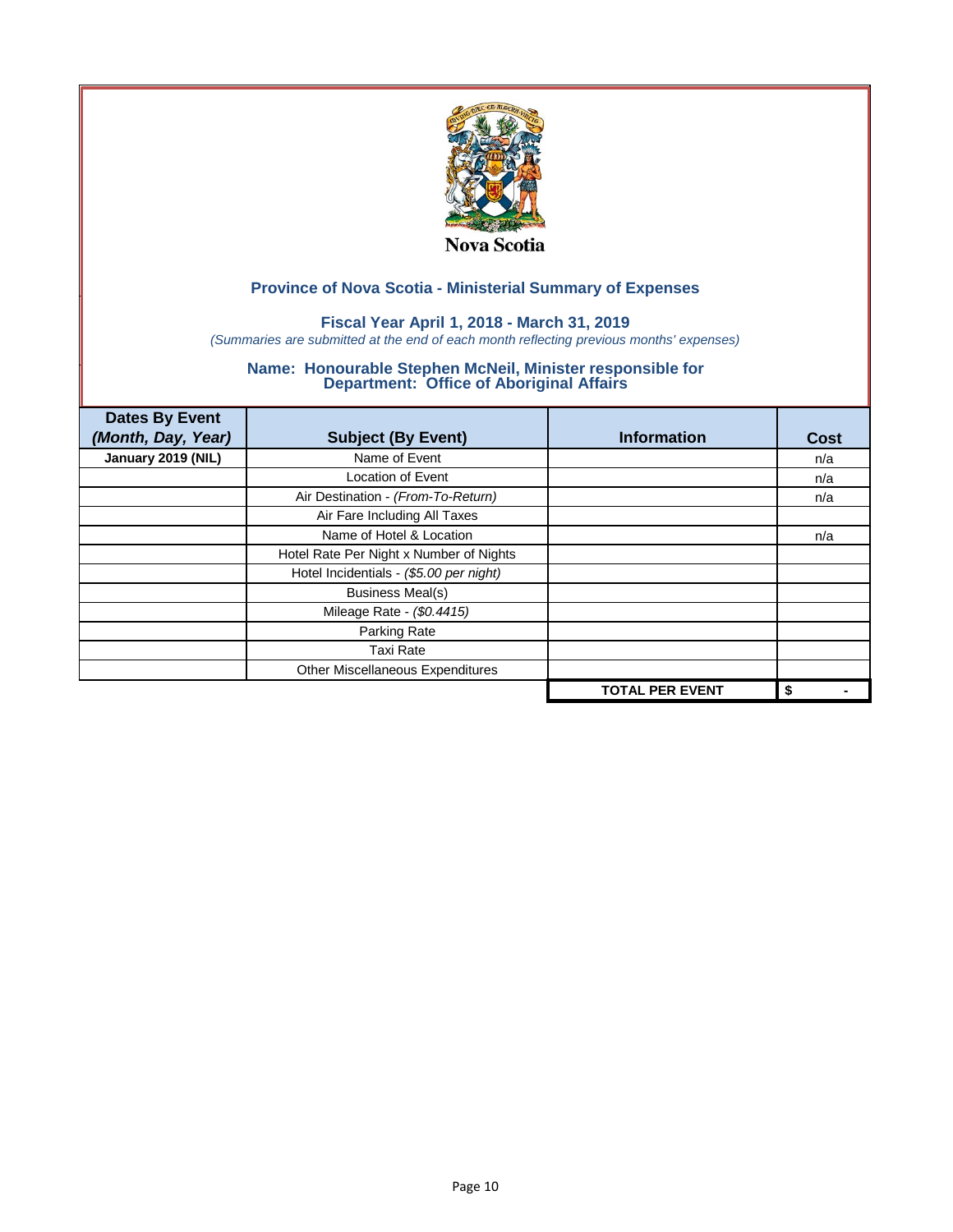

## **Fiscal Year April 1, 2018 - March 31, 2019**

*(Summaries are submitted at the end of each month reflecting previous months' expenses)*

| <b>Dates By Event</b><br>(Month, Day, Year) | <b>Subject (By Event)</b>               | <b>Information</b>     | <b>Cost</b> |
|---------------------------------------------|-----------------------------------------|------------------------|-------------|
| January 2019 (NIL)                          | Name of Event                           |                        | n/a         |
|                                             | <b>Location of Event</b>                |                        | n/a         |
|                                             | Air Destination - (From-To-Return)      |                        | n/a         |
|                                             | Air Fare Including All Taxes            |                        |             |
|                                             | Name of Hotel & Location                |                        | n/a         |
|                                             | Hotel Rate Per Night x Number of Nights |                        |             |
|                                             | Hotel Incidentials - (\$5.00 per night) |                        |             |
|                                             | <b>Business Meal(s)</b>                 |                        |             |
|                                             | Mileage Rate - (\$0.4415)               |                        |             |
|                                             | Parking Rate                            |                        |             |
|                                             | <b>Taxi Rate</b>                        |                        |             |
|                                             | Other Miscellaneous Expenditures        |                        |             |
|                                             |                                         | <b>TOTAL PER EVENT</b> | \$          |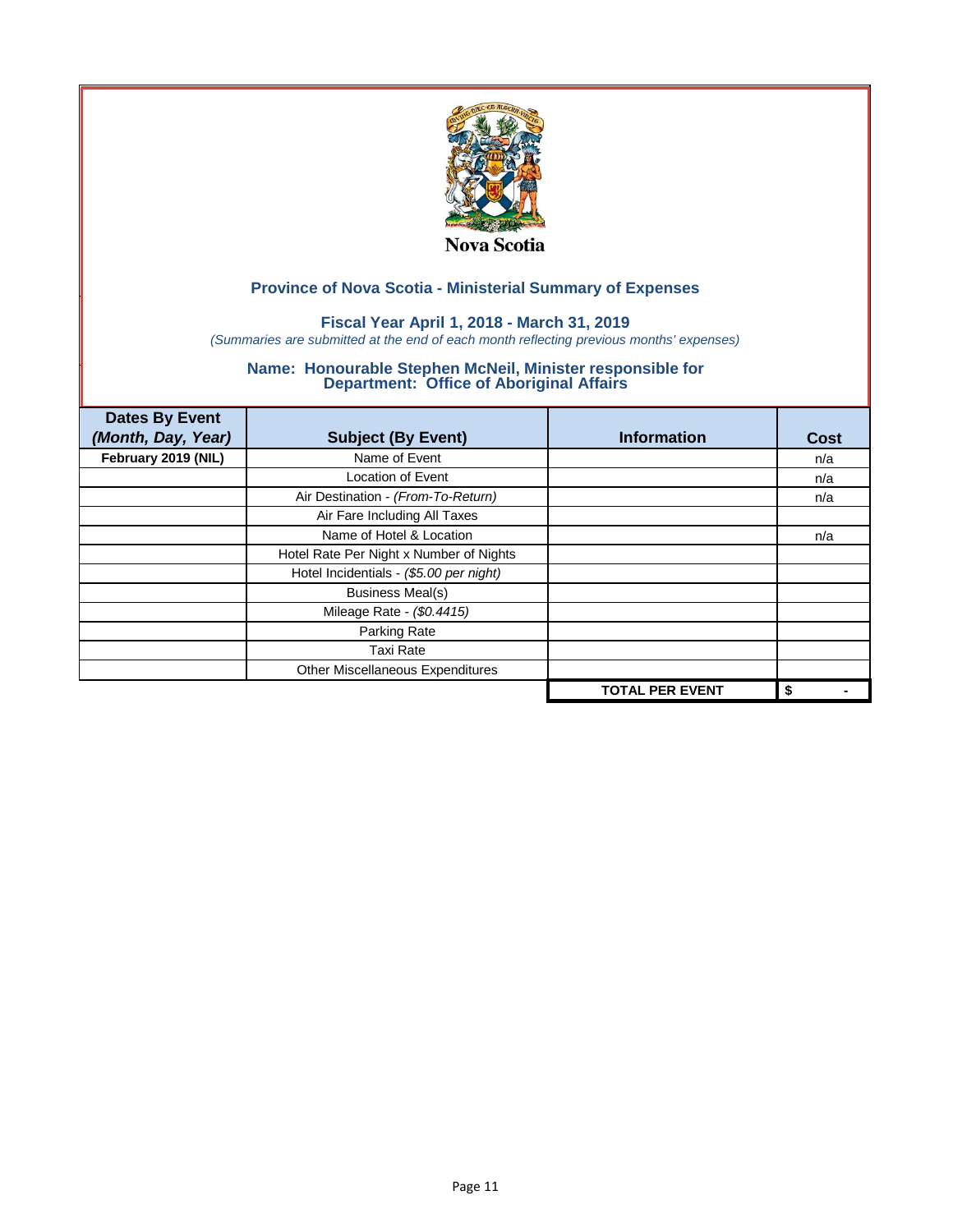

## **Fiscal Year April 1, 2018 - March 31, 2019**

*(Summaries are submitted at the end of each month reflecting previous months' expenses)*

| <b>Dates By Event</b><br>(Month, Day, Year) | <b>Subject (By Event)</b>               | <b>Information</b>     | <b>Cost</b> |
|---------------------------------------------|-----------------------------------------|------------------------|-------------|
| February 2019 (NIL)                         | Name of Event                           |                        | n/a         |
|                                             | <b>Location of Event</b>                |                        | n/a         |
|                                             | Air Destination - (From-To-Return)      |                        | n/a         |
|                                             | Air Fare Including All Taxes            |                        |             |
|                                             | Name of Hotel & Location                |                        | n/a         |
|                                             | Hotel Rate Per Night x Number of Nights |                        |             |
|                                             | Hotel Incidentials - (\$5.00 per night) |                        |             |
|                                             | <b>Business Meal(s)</b>                 |                        |             |
|                                             | Mileage Rate - (\$0.4415)               |                        |             |
|                                             | Parking Rate                            |                        |             |
|                                             | <b>Taxi Rate</b>                        |                        |             |
|                                             | Other Miscellaneous Expenditures        |                        |             |
|                                             |                                         | <b>TOTAL PER EVENT</b> | \$          |